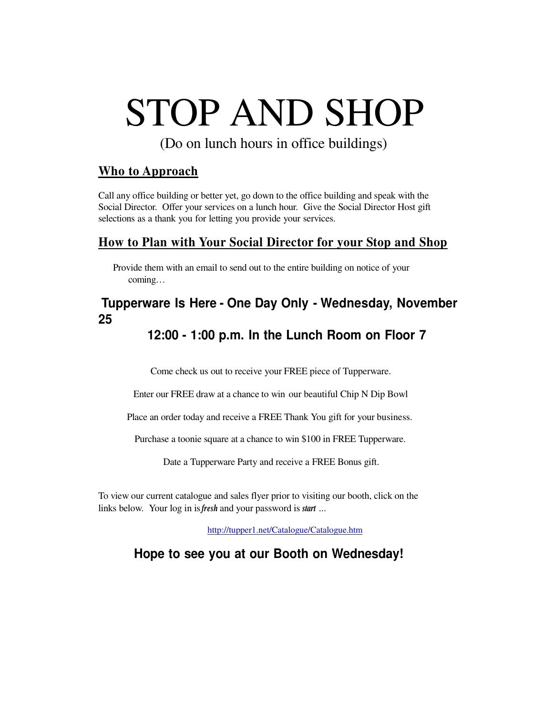# STOP AND SHOP

(Do on lunch hours in office buildings)

### **Who to Approach**

Call any office building or better yet, go down to the office building and speak with the Social Director. Offer your services on a lunch hour. Give the Social Director Host gift selections as a thank you for letting you provide your services.

#### **How to Plan with Your Social Director for your Stop and Shop**

Provide them with an email to send out to the entire building on notice of your coming…

## **Tupperware Is Here - One Day Only - Wednesday, November 25**

## **12:00 - 1:00 p.m. In the Lunch Room on Floor 7**

Come check us out to receive your FREE piece of Tupperware.

Enter our FREE draw at a chance to win our beautiful Chip N Dip Bowl

Place an order today and receive a FREE Thank You gift for your business.

Purchase a toonie square at a chance to win \$100 in FREE Tupperware.

Date a Tupperware Party and receive a FREE Bonus gift.

To view our current catalogue and sales flyer prior to visiting our booth, click on the links below. Your log in is*fresh* and your password is *start* ...

http://tupper1.net/Catalogue/Catalogue.htm

**Hope to see you at our Booth on Wednesday!**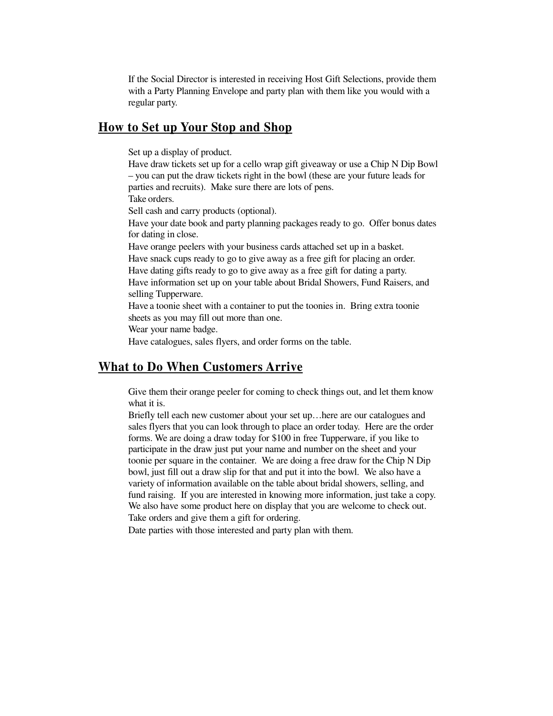If the Social Director is interested in receiving Host Gift Selections, provide them with a Party Planning Envelope and party plan with them like you would with a regular party.

#### **How to Set up Your Stop and Shop**

Set up a display of product.

Have draw tickets set up for a cello wrap gift giveaway or use a Chip N Dip Bowl – you can put the draw tickets right in the bowl (these are your future leads for parties and recruits). Make sure there are lots of pens. Take orders.

Sell cash and carry products (optional).

Have your date book and party planning packages ready to go. Offer bonus dates for dating in close.

Have orange peelers with your business cards attached set up in a basket.

Have snack cups ready to go to give away as a free gift for placing an order.

Have dating gifts ready to go to give away as a free gift for dating a party.

Have information set up on your table about Bridal Showers, Fund Raisers, and selling Tupperware.

Have a toonie sheet with a container to put the toonies in. Bring extra toonie sheets as you may fill out more than one.

Wear your name badge.

Have catalogues, sales flyers, and order forms on the table.

#### **What to Do When Customers Arrive**

Give them their orange peeler for coming to check things out, and let them know what it is.

Briefly tell each new customer about your set up…here are our catalogues and sales flyers that you can look through to place an order today. Here are the order forms. We are doing a draw today for \$100 in free Tupperware, if you like to participate in the draw just put your name and number on the sheet and your toonie per square in the container. We are doing a free draw for the Chip N Dip bowl, just fill out a draw slip for that and put it into the bowl. We also have a variety of information available on the table about bridal showers, selling, and fund raising. If you are interested in knowing more information, just take a copy. We also have some product here on display that you are welcome to check out. Take orders and give them a gift for ordering.

Date parties with those interested and party plan with them.